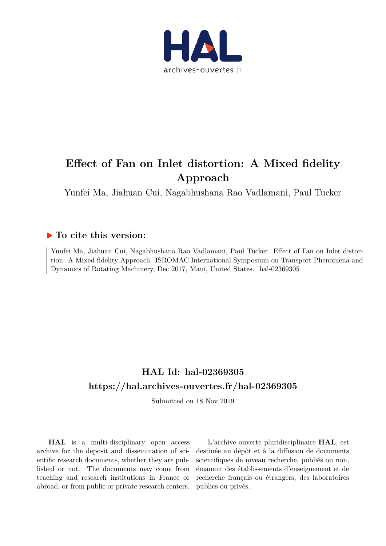

# **Effect of Fan on Inlet distortion: A Mixed fidelity Approach**

Yunfei Ma, Jiahuan Cui, Nagabhushana Rao Vadlamani, Paul Tucker

# **To cite this version:**

Yunfei Ma, Jiahuan Cui, Nagabhushana Rao Vadlamani, Paul Tucker. Effect of Fan on Inlet distortion: A Mixed fidelity Approach. ISROMAC International Symposium on Transport Phenomena and Dynamics of Rotating Machinery, Dec 2017, Maui, United States. hal-02369305

# **HAL Id: hal-02369305 https://hal.archives-ouvertes.fr/hal-02369305**

Submitted on 18 Nov 2019

**HAL** is a multi-disciplinary open access archive for the deposit and dissemination of scientific research documents, whether they are published or not. The documents may come from teaching and research institutions in France or abroad, or from public or private research centers.

L'archive ouverte pluridisciplinaire **HAL**, est destinée au dépôt et à la diffusion de documents scientifiques de niveau recherche, publiés ou non, émanant des établissements d'enseignement et de recherche français ou étrangers, des laboratoires publics ou privés.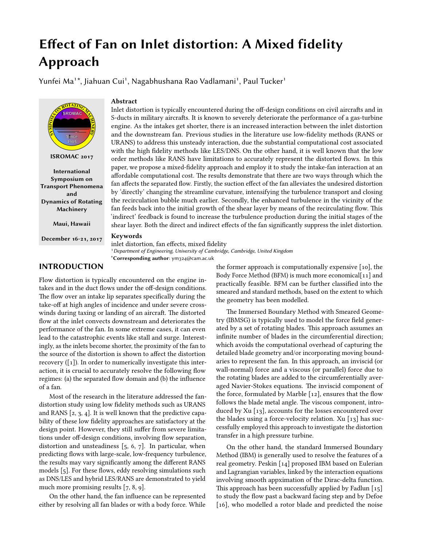# Effect of Fan on Inlet distortion: A Mixed fidelity Approach

Yunfei Ma $1^*$ , Jiahuan Cui<sup>1</sup>, Nagabhushana Rao Vadlamani<sup>1</sup>, Paul Tucker<sup>1</sup>



ISROMAC 2017

International Symposium on Transport Phenomena and Dynamics of Rotating Machinery

Maui, Hawaii

December 16-21, 2017

# Abstract

Inlet distortion is typically encountered during the off-design conditions on civil aircrafts and in S-ducts in military aircrafts. It is known to severely deteriorate the performance of a gas-turbine engine. As the intakes get shorter, there is an increased interaction between the inlet distortion and the downstream fan. Previous studies in the literature use low-fidelity methods (RANS or URANS) to address this unsteady interaction, due the substantial computational cost associated with the high fidelity methods like LES/DNS. On the other hand, it is well known that the low order methods like RANS have limitations to accurately represent the distorted flows. In this paper, we propose a mixed-fidelity approach and employ it to study the intake-fan interaction at an affordable computational cost. The results demonstrate that there are two ways through which the fan affects the separated flow. Firstly, the suction effect of the fan alleviates the undesired distortion by 'directly' changing the streamline curvature, intensifying the turbulence transport and closing the recirculation bubble much earlier. Secondly, the enhanced turbulence in the vicinity of the fan feeds back into the initial growth of the shear layer by means of the recirculating flow. This 'indirect' feedback is found to increase the turbulence production during the initial stages of the shear layer. Both the direct and indirect effects of the fan significantly suppress the inlet distortion.

#### Keywords

inlet distortion, fan effects, mixed fidelity <sup>1</sup> Department of Engineering, University of Cambridge, Cambridge, United Kingdom \*Corresponding author: ym324@cam.ac.uk

# INTRODUCTION

Flow distortion is typically encountered on the engine intakes and in the duct flows under the off-design conditions. The flow over an intake lip separates specifically during the take-off at high angles of incidence and under severe crosswinds during taxing or landing of an aircraft. The distorted flow at the inlet convects downstream and deteriorates the performance of the fan. In some extreme cases, it can even lead to the catastrophic events like stall and surge. Interestingly, as the inlets become shorter, the proximity of the fan to the source of the distortion is shown to affect the distortion recovery  $([1])$ . In order to numerically investigate this interaction, it is crucial to accurately resolve the following flow regimes: (a) the separated flow domain and (b) the influence of a fan.

Most of the research in the literature addressed the fandistortion study using low fidelity methods such as URANS and RANS [2, 3, 4]. It is well known that the predictive capability of these low fidelity approaches are satisfactory at the design point. However, they still suffer from severe limitations under off-design conditions, involving flow separation, distortion and unsteadiness [5, 6, 7]. In particular, when predicting flows with large-scale, low-frequency turbulence, the results may vary significantly among the different RANS models [5]. For these flows, eddy resolving simulations such as DNS/LES and hybrid LES/RANS are demonstrated to yield much more promising results [7, 8, 9].

On the other hand, the fan influence can be represented either by resolving all fan blades or with a body force. While the former approach is computationally expensive [10], the Body Force Method (BFM) is much more economical[11] and practically feasible. BFM can be further classified into the smeared and standard methods, based on the extent to which the geometry has been modelled.

The Immersed Boundary Method with Smeared Geometry (IBMSG) is typically used to model the force field generated by a set of rotating blades. This approach assumes an infinite number of blades in the circumferential direction; which avoids the computational overhead of capturing the detailed blade geometry and/or incorporating moving boundaries to represent the fan. In this approach, an inviscid (or wall-normal) force and a viscous (or parallel) force due to the rotating blades are added to the circumferentially averaged Navier-Stokes equations. The inviscid component of the force, formulated by Marble [12], ensures that the flow follows the blade metal angle. The viscous component, introduced by Xu [13], accounts for the losses encountered over the blades using a force-velocity relation. Xu [13] has successfully employed this approach to investigate the distortion transfer in a high pressure turbine.

On the other hand, the standard Immersed Boundary Method (IBM) is generally used to resolve the features of a real geometry. Peskin [14] proposed IBM based on Eulerian and Lagrangian variables, linked by the interaction equations involving smooth appximation of the Dirac-delta function. This approach has been successfully applied by Fadlun  $[15]$ to study the flow past a backward facing step and by Defoe [16], who modelled a rotor blade and predicted the noise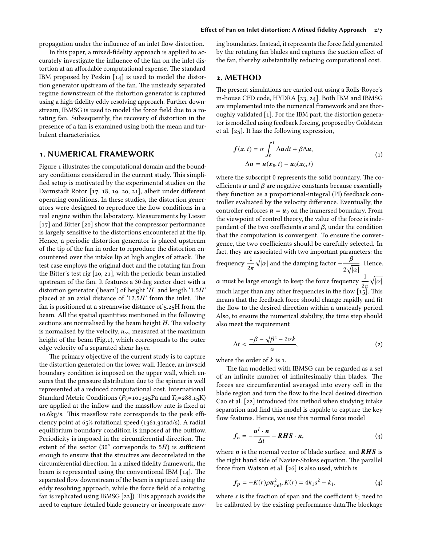propagation under the influence of an inlet flow distortion.

In this paper, a mixed-fidelity approach is applied to accurately investigate the influence of the fan on the inlet distortion at an affordable computational expense. The standard IBM proposed by Peskin [14] is used to model the distortion generator upstream of the fan. The unsteady separated regime downstream of the distortion generator is captured using a high-fidelity eddy resolving approach. Further downstream, IBMSG is used to model the force field due to a rotating fan. Subsequently, the recovery of distortion in the presence of a fan is examined using both the mean and turbulent characteristics.

#### 1. NUMERICAL FRAMEWORK

Figure 1 illustrates the computational domain and the boundary conditions considered in the current study. This simplified setup is motivated by the experimental studies on the Darmstadt Rotor [17, 18, 19, 20, 21], albeit under different operating conditions. In these studies, the distortion generators were designed to reproduce the flow conditions in a real engine within the laboratory. Measurements by Lieser  $[17]$  and Bitter  $[20]$  show that the compressor performance is largely sensitive to the distortions encountered at the tip. Hence, a periodic distortion generator is placed upstream of the tip of the fan in order to reproduce the distortion encountered over the intake lip at high angles of attack. The test case employs the original duct and the rotating fan from the Bitter's test rig  $[20, 21]$ , with the periodic beam installed upstream of the fan. It features a 30 deg sector duct with a distortion generator ('beam') of height '*H*' and length '1.5*H*' placed at an axial distance of ' $12.5H$ ' from the inlet. The fan is positioned at a streamwise distance of 5.25H from the beam. All the spatial quantities mentioned in the following sections are normalised by the beam height  $H$ . The velocity is normalised by the velocity,  $u_{\infty}$ , measured at the maximum height of the beam (Fig.1), which corresponds to the outer edge velocity of a separated shear layer.

The primary objective of the current study is to capture the distortion generated on the lower wall. Hence, an invscid boundary condition is imposed on the upper wall, which ensures that the pressure distribution due to the spinner is well represented at a reduced computational cost. International Standard Metric Conditions ( $P_0$ =101325Pa and *T*<sub>0</sub>=288.15K) are applied at the inflow and the massflow rate is fixed at 10.6kg/s. This massflow rate corresponds to the peak efficiency point at 65% rotational speed (1361.31rad/s). A radial equilibrium boundary condition is imposed at the outflow. Periodicity is imposed in the circumferential direction. The extent of the sector (30◦ corresponds to 5*H*) is sufficient enough to ensure that the structres are decorrelated in the circumferential direction. In a mixed fidelity framework, the beam is represented using the conventional IBM  $[14]$ . The separated flow downstream of the beam is captured using the eddy resolving approach, while the force field of a rotating fan is replicated using IBMSG  $[22]$ ). This approach avoids the need to capture detailed blade geometry or incorporate moving boundaries. Instead, it represents the force field generated by the rotating fan blades and captures the suction effect of the fan, thereby substantially reducing computational cost.

#### 2. METHOD

The present simulations are carried out using a Rolls-Royce's in-house CFD code, HYDRA [23, 24]. Both IBM and IBMSG are implemented into the numerical framework and are thoroughly validated [1]. For the IBM part, the distortion generator is modelled using feedback forcing, proposed by Goldstein et al. [25]. It has the following expression,

$$
f(x,t) = \alpha \int_0^t \Delta u dt + \beta \Delta u,
$$
  
 
$$
\Delta u = u(x_0, t) - u_0(x_0, t)
$$
 (1)

where the subscript 0 represents the solid boundary. The coefficients  $\alpha$  and  $\beta$  are negative constants because essentially they function as a proportional-integral (PI) feedback controller evaluated by the velocity difference. Eventually, the controller enforces  $\mathbf{u} = \mathbf{u}_0$  on the immersed boundary. From the viewpoint of control theory, the value of the force is independent of the two coefficients  $\alpha$  and  $\beta$ , under the condition that the computation is convergent. To ensure the convergence, the two coefficients should be carefully selected. In fact, they are associated with two important parameters: the frequency  $\frac{1}{2\pi}$  $\sqrt{|\alpha|}$  and the damping factor  $-\frac{\beta}{\epsilon}$  $2\sqrt{|\alpha|}$ . Hence, α must be large enough to keep the force frequency  $\frac{1}{2\pi}$  $\sqrt{|\alpha|}$ much larger than any other frequencies in the flow  $\left[1\right]$ . This means that the feedback force should change rapidly and fit the flow to the desired direction within a unsteady period. Also, to ensure the numerical stability, the time step should also meet the requirement

$$
\Delta t < \frac{-\beta - \sqrt{\beta^2 - 2\alpha k}}{\alpha},\tag{2}
$$

where the order of *k* is 1.

The fan modelled with IBMSG can be regarded as a set of an infinite number of infinitesimally thin blades. The forces are circumferential averaged into every cell in the blade region and turn the flow to the local desired direction. Cao et al. [22] introduced this method when studying intake separation and find this model is capable to capture the key flow features. Hence, we use this normal force model

$$
f_n = -\frac{u^l \cdot n}{\Delta t} - RHS \cdot n,\tag{3}
$$

where  $n$  is the normal vector of blade surface, and  $RHS$  is the right hand side of Navier-Stokes equation. The parallel force from Watson et al. [26] is also used, which is

$$
f_p = -K(r)\rho u_{rel}^2, K(r) = 4k_1s^2 + k_1,
$$
 (4)

where *s* is the fraction of span and the coefficient  $k_1$  need to be calibrated by the existing performance data.The blockage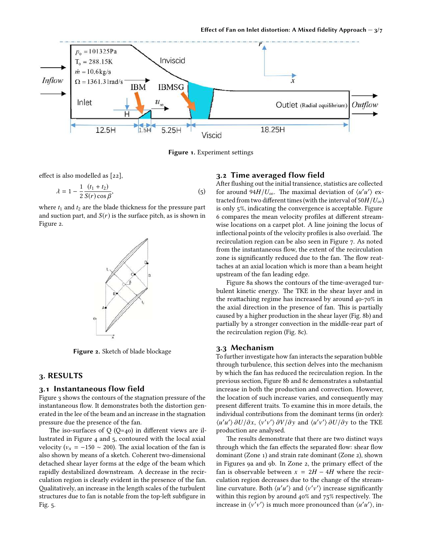

Figure 1. Experiment settings

effect is also modelled as [22],

$$
\lambda = 1 - \frac{1}{2} \frac{(t_1 + t_2)}{S(r) \cos \beta},
$$
 (5)

where  $t_1$  and  $t_2$  are the blade thickness for the pressure part and suction part, and  $S(r)$  is the surface pitch, as is shown in Figure 2.



Figure 2. Sketch of blade blockage

## 3. RESULTS

#### 3.1 Instantaneous flow field

Figure 3 shows the contours of the stagnation pressure of the instantaneous flow. It demonstrates both the distortion generated in the lee of the beam and an increase in the stagnation pressure due the presence of the fan.

The iso-surfaces of  $Q(Q=40)$  in different views are illustrated in Figure 4 and 5, contoured with the local axial velocity ( $v_x = -150 \sim 200$ ). The axial location of the fan is also shown by means of a sketch. Coherent two-dimensional detached shear layer forms at the edge of the beam which rapidly destabilized downstream. A decrease in the recirculation region is clearly evident in the presence of the fan. Qualitatively, an increase in the length scales of the turbulent structures due to fan is notable from the top-left subfigure in Fig. 5.

### 3.2 Time averaged flow field

After flushing out the initial transience, statistics are collected for around  $94H/U_{\infty}$ . The maximal deviation of  $\langle u'u' \rangle$  extracted from two different times (with the interval of  $50H/U_{\infty}$ ) is only 5%, indicating the convergence is acceptable. Figure 6 compares the mean velocity profiles at different streamwise locations on a carpet plot. A line joining the locus of inflectional points of the velocity profiles is also overlaid. The recirculation region can be also seen in Figure 7. As noted from the instantaneous flow, the extent of the recirculation zone is significantly reduced due to the fan. The flow reattaches at an axial location which is more than a beam height upstream of the fan leading edge.

Figure 8a shows the contours of the time-averaged turbulent kinetic energy. The TKE in the shear layer and in the reattaching regime has increased by around 40-70% in the axial direction in the presence of fan. This is partially caused by a higher production in the shear layer (Fig. 8b) and partially by a stronger convection in the middle-rear part of the recirculation region (Fig. 8c).

#### 3.3 Mechanism

To further investigate how fan interacts the separation bubble through turbulence, this section delves into the mechanism by which the fan has reduced the recirculation region. In the previous section, Figure 8b and 8c demonstrates a substantial increase in both the production and convection. However, the location of such increase varies, and consequently may present different traits. To examine this in more details, the individual contributions from the dominant terms (in order): *\u'u'*  $\partial U/\partial x$ ,  $\langle v'v' \rangle \partial V/\partial y$  and  $\langle u'v' \rangle \partial U/\partial y$  to the TKE production are analysed.

The results demonstrate that there are two distinct ways through which the fan effects the separated flow: shear flow dominant (Zone 1) and strain rate dominant (Zone 2), shown in Figures 9a and 9b. In Zone 2, the primary effect of the fan is observable between  $x = 2H - 4H$  where the recirculation region decreases due to the change of the streamline curvature. Both  $\langle u'u' \rangle$  and  $\langle v'v' \rangle$  increase significantly within this region by around  $40\%$  and  $75\%$  respectively. The increase in  $\langle v'v' \rangle$  is much more pronounced than  $\langle u'u' \rangle$ , in-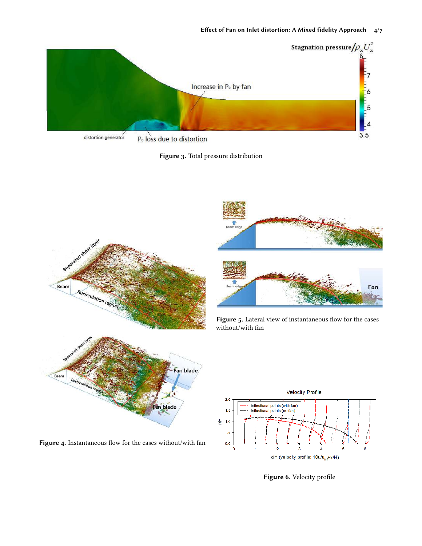

Figure 3. Total pressure distribution





Figure 5. Lateral view of instantaneous flow for the cases without/with fan



Figure 6. Velocity profile



Fan blade

Recirculation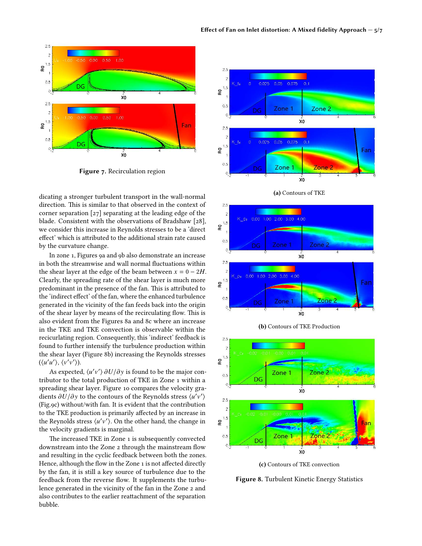

Figure 7. Recirculation region

dicating a stronger turbulent transport in the wall-normal direction. This is similar to that observed in the context of corner separation [27] separating at the leading edge of the blade. Consistent with the observations of Bradshaw [28], we consider this increase in Reynolds stresses to be a 'direct effect' which is attributed to the additional strain rate caused by the curvature change.

In zone 1, Figures 9a and 9b also demonstrate an increase in both the streamwise and wall normal fluctuations within the shear layer at the edge of the beam between  $x = 0 - 2H$ . Clearly, the spreading rate of the shear layer is much more predominant in the presence of the fan. This is attributed to the 'indirect effect' of the fan, where the enhanced turbulence generated in the vicinity of the fan feeds back into the origin of the shear layer by means of the recirculating flow. This is also evident from the Figures 8a and 8c where an increase in the TKE and TKE convection is observable within the recicurlating region. Consequently, this 'indirect' feedback is found to further intensify the turbulence production within the shear layer (Figure 8b) increasing the Reynolds stresses  $(\langle u'u'\rangle, \langle v'v'\rangle).$ 

As expected,  $\langle u'v' \rangle \partial U/\partial y$  is found to be the major contributor to the total production of TKE in Zone 1 within a spreading shear layer. Figure 10 compares the velocity gradients  $\partial U/\partial y$  to the contours of the Reynolds stress  $\langle u'v'\rangle$ (Fig.9c) without/with fan. It is evident that the contribution to the TKE production is primarily affected by an increase in the Reynolds stress  $\langle u'v'\rangle$ . On the other hand, the change in the velocity gradients is marginal.

The increased TKE in Zone 1 is subsequently convected downstream into the Zone 2 through the mainstream flow and resulting in the cyclic feedback between both the zones. Hence, although the flow in the Zone 1 is not affected directly by the fan, it is still a key source of turbulence due to the feedback from the reverse flow. It supplements the turbulence generated in the vicinity of the fan in the Zone 2 and also contributes to the earlier reattachment of the separation bubble.





(b) Contours of TKE Production



(c) Contours of TKE convection

Figure 8. Turbulent Kinetic Energy Statistics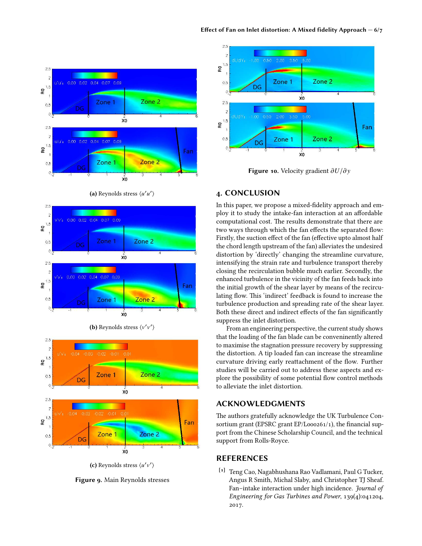

(a) Reynolds stress  $\langle u'u' \rangle$ 





(b) Reynolds stress  $\langle v'v' \rangle$ 

(c) Reynolds stress  $\langle u'v'\rangle$ 





Figure 10. Velocity gradient ∂*U*/∂y

## 4. CONCLUSION

In this paper, we propose a mixed-fidelity approach and employ it to study the intake-fan interaction at an affordable computational cost. The results demonstrate that there are two ways through which the fan effects the separated flow: Firstly, the suction effect of the fan (effective upto almost half the chord length upstream of the fan) alleviates the undesired distortion by 'directly' changing the streamline curvature, intensifying the strain rate and turbulence transport thereby closing the recirculation bubble much earlier. Secondly, the enhanced turbulence in the vicinity of the fan feeds back into the initial growth of the shear layer by means of the recirculating flow. This 'indirect' feedback is found to increase the turbulence production and spreading rate of the shear layer. Both these direct and indirect effects of the fan significantly suppress the inlet distortion.

From an engineering perspective, the current study shows that the loading of the fan blade can be conveninently altered to maximise the stagnation pressure recovery by suppressing the distortion. A tip loaded fan can increase the streamline curvature driving early reattachment of the flow. Further studies will be carried out to address these aspects and explore the possibility of some potential flow control methods to alleviate the inlet distortion.

### ACKNOWLEDGMENTS

The authors gratefully acknowledge the UK Turbulence Consortium grant (EPSRC grant EP/L000261/1), the financial support from the Chinese Scholarship Council, and the technical support from Rolls-Royce.

# REFERENCES

[1] Teng Cao, Nagabhushana Rao Vadlamani, Paul G Tucker, Angus R Smith, Michal Slaby, and Christopher TJ Sheaf. Fan–intake interaction under high incidence. Journal of Engineering for Gas Turbines and Power, 139(4):041204, 2017.